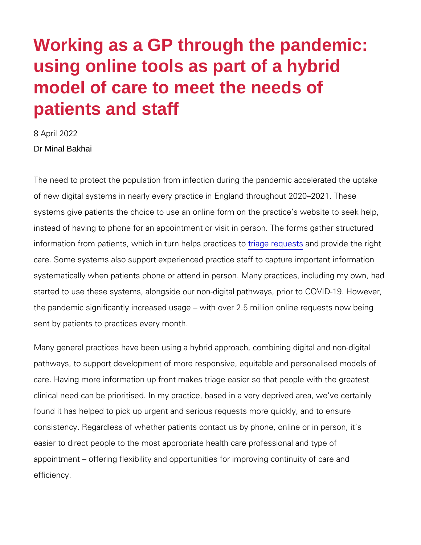## Working as a GP through the pandemic: using online tools as part of a hybrid model of care to meet the needs of patients and staff

8 April 2022 Dr Minal Bakhai

The need to protect the population from infection during the pand of new digital systems in nearly every practice in England throug systems give patients the choice to use an online form on the pra instead of having to phone for an appointment or visit in person. information from patients, which in turrinaghee Inpesquaensad to the right in formation from patients, which in care. Some systems also support experienced practice staff to ca systematically when patients phone or attend in person. Many pra started to use these systems, alongside our non-digital pathways, the pandemic significantly increased usage with over 2.5 million sent by patients to practices every month.

Many general practices have been using a hybrid approach, combi pathways, to support development of more responsive, equitable and personalised models of models  $\alpha$ care. Having more information up front makes triage easier so tha clinical need can be prioritised. In my practice, based in a very d found it has helped to pick up urgent and serious requests more o consistency. Regardless of whether patients contact us by phone, easier to direct people to the most appropriate health care profes appointment offering flexibility and opportunities for improving efficiency.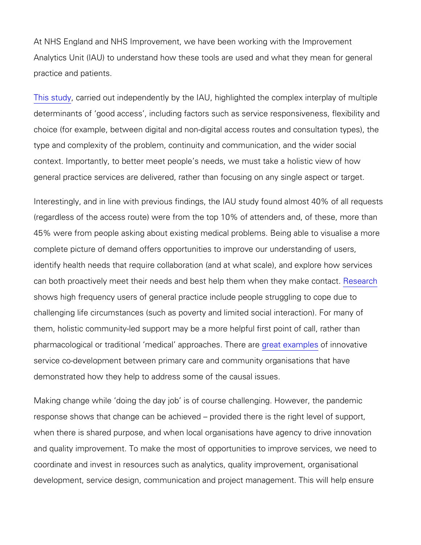At NHS England and NHS Improvement, we have been working with Analytics Unit (IAU) to understand how these tools are used and v practice and patients.

[This s](https://health.org.uk/publications/access-to-and-delivery-of-general-practice-services)tudgrried out independently by the IAU, highlighted the com determinants of good access, including factors such as service choice (for example, between digital and non-digital access route type and complexity of the problem, continuity and communication context. Importantly, to better meet people s needs, we must take general practice services are delivered, rather than focusing on a

Interestingly, and in line with previous findings, the IAU study fo (regardless of the access route) were from the top 10% of attenders 45% were from people asking about existing medical problems. Be complete picture of demand offers opportunities to improve our understanding of users,  $\alpha$ identify health needs that require collaboration (and at what scal can both proactively meet their needs and best help Rheesmaw hen the shows high frequency users of general practice include people sti challenging life circumstances (such as poverty and limited socia them, holistic community-led support may be a more helpful first pharmacological or traditional medicalgr**appropachopise is Theoractive** e service co-development between primary care and community orga demonstrated how they help to address some of the causal issues.

Making change while doing the day job is of course challenging. response shows that change can be achieved provided there is t when there is shared purpose, and when local organisations have and quality improvement. To make the most of opportunities to im coordinate and invest in resources such as analytics, quality imp development, service design, communication and project managem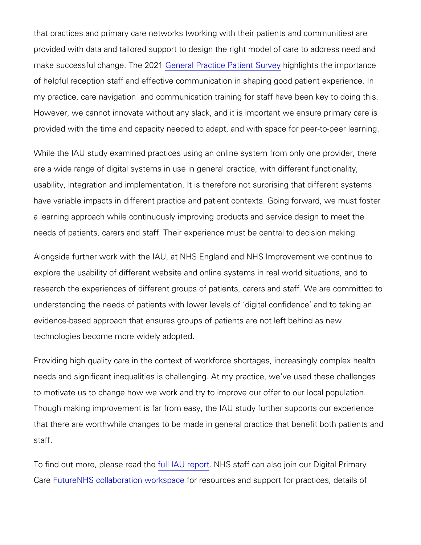that practices and primary care networks (working with their patients and community and  $\epsilon$ provided with data and tailored support to design the right model make successful chang **GenTehreal 2D Padctice Pathieght I Eguhrt**s ethe importan of helpful reception staff and effective communication in shaping my practi**a**ee navig**atio**n communication training for staff have been However, we cannot innovate without any slack, and it is importal provided with the time and capacity needed to adapt, and with  $sp_{\ell}$ 

While the IAU study examined practices using an online system fr are a wide range of digital systems in use in general practice, wi usability, integration and implementation. It is therefore not surp have variable impacts in different practice and patient contexts. a learning approach while continuously improving products and se needs of patients, carers and staff. Their experience must be cen

Alongside further work with the IAU, at NHS England and NHS Imp explore the usability of different website and online systems in re research the experiences of different groups of patients, carers a understanding the needs of patients with lower levels of digital o evidence-based approach that ensures groups of patients are not technologies become more widely adopted.

Providing high quality care in the context of workforce shortages, needs and significant inequalities is challenging. At my practice, to motivate us to change how we work and try to improve our offe Though making improvement is far from easy, the IAU study further that there are worthwhile changes to be made in general practice staff.

To find out more, please raad reports staff can also join our Digital CareutureNHS collaboration worelsspuaces and support for practices